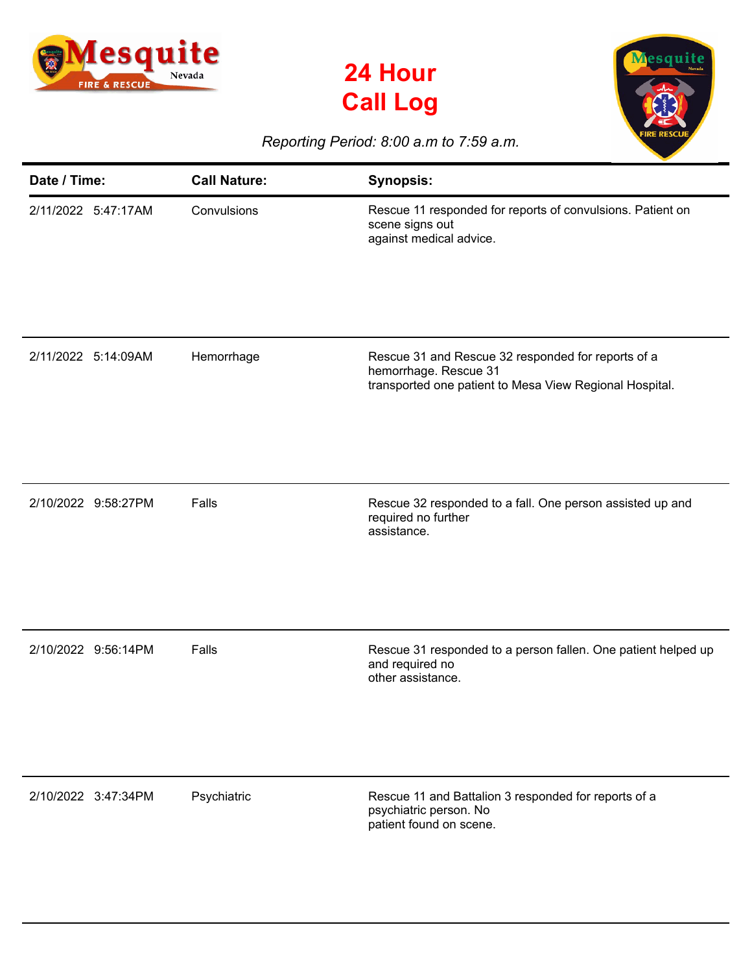





## *Reporting Period: 8:00 a.m to 7:59 a.m.*

| Date / Time:        | <b>Call Nature:</b> | <b>Synopsis:</b>                                                                                                                       |
|---------------------|---------------------|----------------------------------------------------------------------------------------------------------------------------------------|
| 2/11/2022 5:47:17AM | Convulsions         | Rescue 11 responded for reports of convulsions. Patient on<br>scene signs out<br>against medical advice.                               |
| 2/11/2022 5:14:09AM | Hemorrhage          | Rescue 31 and Rescue 32 responded for reports of a<br>hemorrhage. Rescue 31<br>transported one patient to Mesa View Regional Hospital. |
| 2/10/2022 9:58:27PM | Falls               | Rescue 32 responded to a fall. One person assisted up and<br>required no further<br>assistance.                                        |
| 2/10/2022 9:56:14PM | Falls               | Rescue 31 responded to a person fallen. One patient helped up<br>and required no<br>other assistance.                                  |
| 2/10/2022 3:47:34PM | Psychiatric         | Rescue 11 and Battalion 3 responded for reports of a<br>psychiatric person. No<br>patient found on scene.                              |